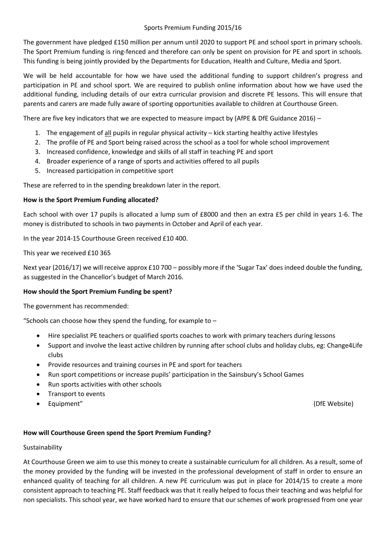#### Sports Premium Funding 2015/16

The government have pledged £150 million per annum until 2020 to support PE and school sport in primary schools. The Sport Premium funding is ring-fenced and therefore can only be spent on provision for PE and sport in schools. This funding is being jointly provided by the Departments for Education, Health and Culture, Media and Sport.

We will be held accountable for how we have used the additional funding to support children's progress and participation in PE and school sport. We are required to publish online information about how we have used the additional funding, including details of our extra curricular provision and discrete PE lessons. This will ensure that parents and carers are made fully aware of sporting opportunities available to children at Courthouse Green.

There are five key indicators that we are expected to measure impact by (AfPE & DfE Guidance 2016) –

- 1. The engagement of all pupils in regular physical activity kick starting healthy active lifestyles
- 2. The profile of PE and Sport being raised across the school as a tool for whole school improvement
- 3. Increased confidence, knowledge and skills of all staff in teaching PE and sport
- 4. Broader experience of a range of sports and activities offered to all pupils
- 5. Increased participation in competitive sport

These are referred to in the spending breakdown later in the report.

#### **How is the Sport Premium Funding allocated?**

Each school with over 17 pupils is allocated a lump sum of £8000 and then an extra £5 per child in years 1-6. The money is distributed to schools in two payments in October and April of each year.

In the year 2014-15 Courthouse Green received £10 400.

This year we received £10 365

Next year (2016/17) we will receive approx £10 700 – possibly more if the 'Sugar Tax' does indeed double the funding, as suggested in the Chancellor's budget of March 2016.

# **How should the Sport Premium Funding be spent?**

The government has recommended:

"Schools can choose how they spend the funding, for example to  $-$ 

- Hire specialist PE teachers or qualified sports coaches to work with primary teachers during lessons
- Support and involve the least active children by running after school clubs and holiday clubs, eg: Change4Life clubs
- Provide resources and training courses in PE and sport for teachers
- Run sport competitions or increase pupils' participation in the Sainsbury's School Games
- Run sports activities with other schools
- Transport to events
- 

Equipment" (DfE Website)

# **How will Courthouse Green spend the Sport Premium Funding?**

#### Sustainability

At Courthouse Green we aim to use this money to create a sustainable curriculum for all children. As a result, some of the money provided by the funding will be invested in the professional development of staff in order to ensure an enhanced quality of teaching for all children. A new PE curriculum was put in place for 2014/15 to create a more consistent approach to teaching PE. Staff feedback was that it really helped to focus their teaching and was helpful for non specialists. This school year, we have worked hard to ensure that our schemes of work progressed from one year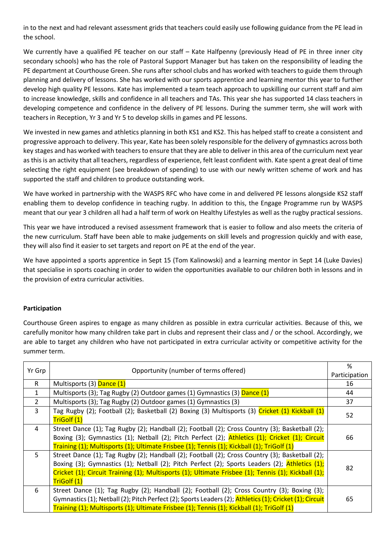in to the next and had relevant assessment grids that teachers could easily use following guidance from the PE lead in the school.

We currently have a qualified PE teacher on our staff – Kate Halfpenny (previously Head of PE in three inner city secondary schools) who has the role of Pastoral Support Manager but has taken on the responsibility of leading the PE department at Courthouse Green. She runs after school clubs and has worked with teachers to guide them through planning and delivery of lessons. She has worked with our sports apprentice and learning mentor this year to further develop high quality PE lessons. Kate has implemented a team teach approach to upskilling our current staff and aim to increase knowledge, skills and confidence in all teachers and TAs. This year she has supported 14 class teachers in developing competence and confidence in the delivery of PE lessons. During the summer term, she will work with teachers in Reception, Yr 3 and Yr 5 to develop skills in games and PE lessons.

We invested in new games and athletics planning in both KS1 and KS2. This has helped staff to create a consistent and progressive approach to delivery. This year, Kate has been solely responsible for the delivery of gymnastics across both key stages and has worked with teachers to ensure that they are able to deliver in this area of the curriculum next year as this is an activity that all teachers, regardless of experience, felt least confident with. Kate spent a great deal of time selecting the right equipment (see breakdown of spending) to use with our newly written scheme of work and has supported the staff and children to produce outstanding work.

We have worked in partnership with the WASPS RFC who have come in and delivered PE lessons alongside KS2 staff enabling them to develop confidence in teaching rugby. In addition to this, the Engage Programme run by WASPS meant that our year 3 children all had a half term of work on Healthy Lifestyles as well as the rugby practical sessions.

This year we have introduced a revised assessment framework that is easier to follow and also meets the criteria of the new curriculum. Staff have been able to make judgements on skill levels and progression quickly and with ease, they will also find it easier to set targets and report on PE at the end of the year.

We have appointed a sports apprentice in Sept 15 (Tom Kalinowski) and a learning mentor in Sept 14 (Luke Davies) that specialise in sports coaching in order to widen the opportunities available to our children both in lessons and in the provision of extra curricular activities.

# **Participation**

Courthouse Green aspires to engage as many children as possible in extra curricular activities. Because of this, we carefully monitor how many children take part in clubs and represent their class and / or the school. Accordingly, we are able to target any children who have not participated in extra curricular activity or competitive activity for the summer term.

| Yr Grp         | Opportunity (number of terms offered)                                                                                                                                                                                                                                                                                   |    |
|----------------|-------------------------------------------------------------------------------------------------------------------------------------------------------------------------------------------------------------------------------------------------------------------------------------------------------------------------|----|
|                |                                                                                                                                                                                                                                                                                                                         |    |
| $\mathbf{1}$   | Multisports (3); Tag Rugby (2) Outdoor games (1) Gymnastics (3) Dance (1)                                                                                                                                                                                                                                               | 44 |
| $\overline{2}$ | Multisports (3); Tag Rugby (2) Outdoor games (1) Gymnastics (3)                                                                                                                                                                                                                                                         | 37 |
| 3              | Tag Rugby (2); Football (2); Basketball (2) Boxing (3) Multisports (3) Cricket (1) Kickball (1)<br>TriGolf (1)                                                                                                                                                                                                          | 52 |
| 4              | Street Dance (1); Tag Rugby (2); Handball (2); Football (2); Cross Country (3); Basketball (2);<br>Boxing (3); Gymnastics (1); Netball (2); Pitch Perfect (2); Athletics (1); Cricket (1); Circuit<br>Training (1); Multisports (1); Ultimate Frisbee (1); Tennis (1); Kickball (1); TriGolf (1)                        | 66 |
| 5 <sup>1</sup> | Street Dance (1); Tag Rugby (2); Handball (2); Football (2); Cross Country (3); Basketball (2);<br>Boxing (3); Gymnastics (1); Netball (2); Pitch Perfect (2); Sports Leaders (2); Athletics (1);<br>Cricket (1); Circuit Training (1); Multisports (1); Ultimate Frisbee (1); Tennis (1); Kickball (1);<br>TriGolf (1) | 82 |
| 6              | Street Dance (1); Tag Rugby (2); Handball (2); Football (2); Cross Country (3); Boxing (3);<br>Gymnastics (1); Netball (2); Pitch Perfect (2); Sports Leaders (2); Athletics (1); Cricket (1); Circuit<br>Training (1); Multisports (1); Ultimate Frisbee (1); Tennis (1); Kickball (1); TriGolf (1)                    | 65 |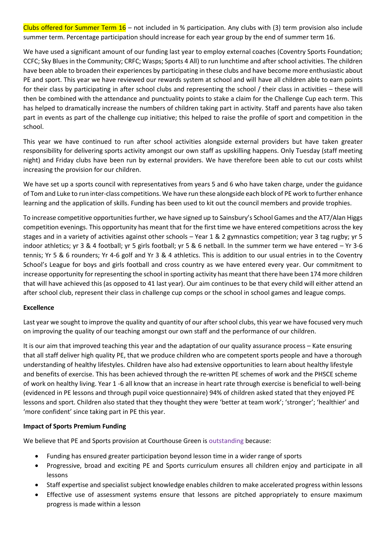Clubs offered for Summer Term  $16$  – not included in % participation. Any clubs with (3) term provision also include summer term. Percentage participation should increase for each year group by the end of summer term 16.

We have used a significant amount of our funding last year to employ external coaches (Coventry Sports Foundation; CCFC; Sky Blues in the Community; CRFC; Wasps; Sports 4 All) to run lunchtime and after school activities. The children have been able to broaden their experiences by participating in these clubs and have become more enthusiastic about PE and sport. This year we have reviewed our rewards system at school and will have all children able to earn points for their class by participating in after school clubs and representing the school / their class in activities – these will then be combined with the attendance and punctuality points to stake a claim for the Challenge Cup each term. This has helped to dramatically increase the numbers of children taking part in activity. Staff and parents have also taken part in events as part of the challenge cup initiative; this helped to raise the profile of sport and competition in the school.

This year we have continued to run after school activities alongside external providers but have taken greater responsibility for delivering sports activity amongst our own staff as upskilling happens. Only Tuesday (staff meeting night) and Friday clubs have been run by external providers. We have therefore been able to cut our costs whilst increasing the provision for our children.

We have set up a sports council with representatives from years 5 and 6 who have taken charge, under the guidance of Tom and Luke to run inter-class competitions. We have run these alongside each block of PE work to further enhance learning and the application of skills. Funding has been used to kit out the council members and provide trophies.

To increase competitive opportunities further, we have signed up to Sainsbury's School Games and the AT7/Alan Higgs competition evenings. This opportunity has meant that for the first time we have entered competitions across the key stages and in a variety of activities against other schools – Year 1 & 2 gymnastics competition; year 3 tag rugby; yr 5 indoor athletics; yr 3 & 4 football; yr 5 girls football; yr 5 & 6 netball. In the summer term we have entered – Yr 3-6 tennis; Yr 5 & 6 rounders; Yr 4-6 golf and Yr 3 & 4 athletics. This is addition to our usual entries in to the Coventry School's League for boys and girls football and cross country as we have entered every year. Our commitment to increase opportunity for representing the school in sporting activity has meant that there have been 174 more children that will have achieved this (as opposed to 41 last year). Our aim continues to be that every child will either attend an after school club, represent their class in challenge cup comps or the school in school games and league comps.

# **Excellence**

Last year we sought to improve the quality and quantity of our after school clubs, this year we have focused very much on improving the quality of our teaching amongst our own staff and the performance of our children.

It is our aim that improved teaching this year and the adaptation of our quality assurance process – Kate ensuring that all staff deliver high quality PE, that we produce children who are competent sports people and have a thorough understanding of healthy lifestyles. Children have also had extensive opportunities to learn about healthy lifestyle and benefits of exercise. This has been achieved through the re-written PE schemes of work and the PHSCE scheme of work on healthy living. Year 1 -6 all know that an increase in heart rate through exercise is beneficial to well-being (evidenced in PE lessons and through pupil voice questionnaire) 94% of children asked stated that they enjoyed PE lessons and sport. Children also stated that they thought they were 'better at team work'; 'stronger'; 'healthier' and 'more confident' since taking part in PE this year.

# **Impact of Sports Premium Funding**

We believe that PE and Sports provision at Courthouse Green is outstanding because:

- Funding has ensured greater participation beyond lesson time in a wider range of sports
- Progressive, broad and exciting PE and Sports curriculum ensures all children enjoy and participate in all lessons
- Staff expertise and specialist subject knowledge enables children to make accelerated progress within lessons
- Effective use of assessment systems ensure that lessons are pitched appropriately to ensure maximum progress is made within a lesson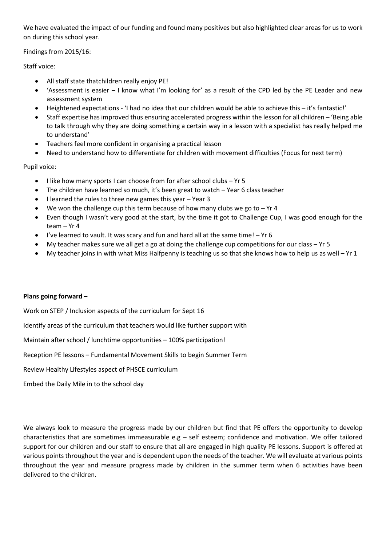We have evaluated the impact of our funding and found many positives but also highlighted clear areas for us to work on during this school year.

Findings from 2015/16:

Staff voice:

- All staff state thatchildren really enjoy PE!
- 'Assessment is easier I know what I'm looking for' as a result of the CPD led by the PE Leader and new assessment system
- Heightened expectations 'I had no idea that our children would be able to achieve this it's fantastic!'
- Staff expertise has improved thus ensuring accelerated progress within the lesson for all children 'Being able to talk through why they are doing something a certain way in a lesson with a specialist has really helped me to understand'
- Teachers feel more confident in organising a practical lesson
- Need to understand how to differentiate for children with movement difficulties (Focus for next term)

Pupil voice:

- I like how many sports I can choose from for after school clubs Yr 5
- The children have learned so much, it's been great to watch Year 6 class teacher
- I learned the rules to three new games this year Year 3
- $\bullet$  We won the challenge cup this term because of how many clubs we go to Yr 4
- Even though I wasn't very good at the start, by the time it got to Challenge Cup, I was good enough for the team – Yr 4
- $\bullet$  I've learned to vault. It was scary and fun and hard all at the same time! Yr 6
- My teacher makes sure we all get a go at doing the challenge cup competitions for our class Yr 5
- My teacher joins in with what Miss Halfpenny is teaching us so that she knows how to help us as well Yr 1

# **Plans going forward –**

Work on STEP / Inclusion aspects of the curriculum for Sept 16

Identify areas of the curriculum that teachers would like further support with

Maintain after school / lunchtime opportunities – 100% participation!

Reception PE lessons – Fundamental Movement Skills to begin Summer Term

Review Healthy Lifestyles aspect of PHSCE curriculum

Embed the Daily Mile in to the school day

We always look to measure the progress made by our children but find that PE offers the opportunity to develop characteristics that are sometimes immeasurable e.g  $-$  self esteem; confidence and motivation. We offer tailored support for our children and our staff to ensure that all are engaged in high quality PE lessons. Support is offered at various points throughout the year and is dependent upon the needs of the teacher. We will evaluate at various points throughout the year and measure progress made by children in the summer term when 6 activities have been delivered to the children.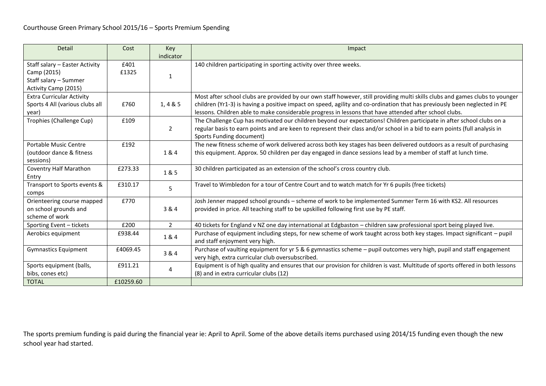| <b>Detail</b>                                                                                  | Cost          | Key<br>indicator | Impact                                                                                                                                                                                                                                                                                                                                                              |
|------------------------------------------------------------------------------------------------|---------------|------------------|---------------------------------------------------------------------------------------------------------------------------------------------------------------------------------------------------------------------------------------------------------------------------------------------------------------------------------------------------------------------|
| Staff salary - Easter Activity<br>Camp (2015)<br>Staff salary - Summer<br>Activity Camp (2015) | £401<br>£1325 |                  | 140 children participating in sporting activity over three weeks.                                                                                                                                                                                                                                                                                                   |
| <b>Extra Curricular Activity</b><br>Sports 4 All (various clubs all<br>year)                   | £760          | 1, 4 & 5         | Most after school clubs are provided by our own staff however, still providing multi skills clubs and games clubs to younger<br>children (Yr1-3) is having a positive impact on speed, agility and co-ordination that has previously been neglected in PE<br>lessons. Children able to make considerable progress in lessons that have attended after school clubs. |
| Trophies (Challenge Cup)                                                                       | £109          | $\overline{2}$   | The Challenge Cup has motivated our children beyond our expectations! Children participate in after school clubs on a<br>regular basis to earn points and are keen to represent their class and/or school in a bid to earn points (full analysis in<br>Sports Funding document)                                                                                     |
| Portable Music Centre<br>(outdoor dance & fitness<br>sessions)                                 | £192          | 1&4              | The new fitness scheme of work delivered across both key stages has been delivered outdoors as a result of purchasing<br>this equipment. Approx. 50 children per day engaged in dance sessions lead by a member of staff at lunch time.                                                                                                                             |
| <b>Coventry Half Marathon</b><br>Entry                                                         | £273.33       | 1 & 5            | 30 children participated as an extension of the school's cross country club.                                                                                                                                                                                                                                                                                        |
| Transport to Sports events &<br>comps                                                          | £310.17       | 5                | Travel to Wimbledon for a tour of Centre Court and to watch match for Yr 6 pupils (free tickets)                                                                                                                                                                                                                                                                    |
| Orienteering course mapped<br>on school grounds and<br>scheme of work                          | £770          | 3 & 4            | Josh Jenner mapped school grounds - scheme of work to be implemented Summer Term 16 with KS2. All resources<br>provided in price. All teaching staff to be upskilled following first use by PE staff.                                                                                                                                                               |
| Sporting Event - tickets                                                                       | £200          | $\overline{2}$   | 40 tickets for England v NZ one day international at Edgbaston - children saw professional sport being played live.                                                                                                                                                                                                                                                 |
| Aerobics equipment                                                                             | £938.44       | 1&4              | Purchase of equipment including steps, for new scheme of work taught across both key stages. Impact significant - pupil<br>and staff enjoyment very high.                                                                                                                                                                                                           |
| <b>Gymnastics Equipment</b>                                                                    | £4069.45      | 3 & 4            | Purchase of vaulting equipment for yr 5 & 6 gymnastics scheme - pupil outcomes very high, pupil and staff engagement<br>very high, extra curricular club oversubscribed.                                                                                                                                                                                            |
| Sports equipment (balls,<br>bibs, cones etc)                                                   | £911.21       | 4                | Equipment is of high quality and ensures that our provision for children is vast. Multitude of sports offered in both lessons<br>(8) and in extra curricular clubs (12)                                                                                                                                                                                             |
| <b>TOTAL</b>                                                                                   | £10259.60     |                  |                                                                                                                                                                                                                                                                                                                                                                     |

The sports premium funding is paid during the financial year ie: April to April. Some of the above details items purchased using 2014/15 funding even though the new school year had started.